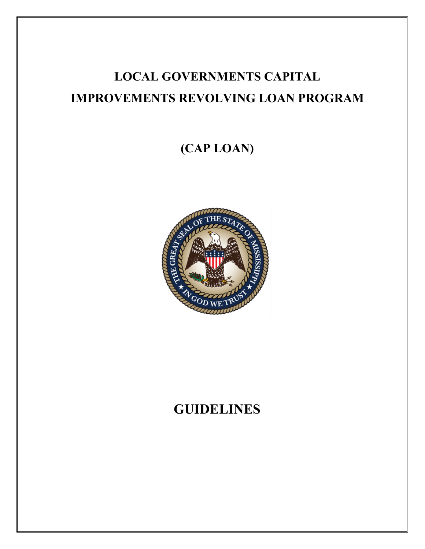# **LOCAL GOVERNMENTS CAPITAL IMPROVEMENTS REVOLVING LOAN PROGRAM**

# **(CAP LOAN)**



# **GUIDELINES**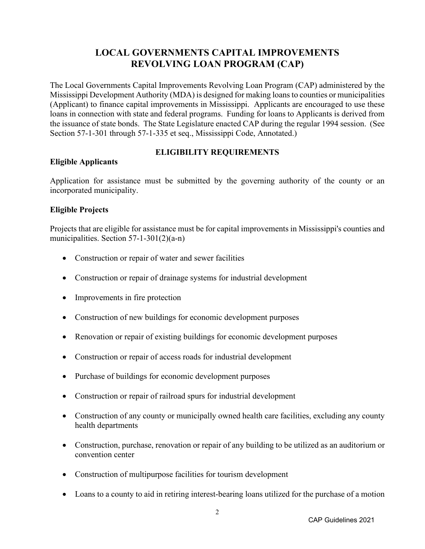## **LOCAL GOVERNMENTS CAPITAL IMPROVEMENTS REVOLVING LOAN PROGRAM (CAP)**

The Local Governments Capital Improvements Revolving Loan Program (CAP) administered by the Mississippi Development Authority (MDA) is designed for making loans to counties or municipalities (Applicant) to finance capital improvements in Mississippi. Applicants are encouraged to use these loans in connection with state and federal programs. Funding for loans to Applicants is derived from the issuance of state bonds. The State Legislature enacted CAP during the regular 1994 session. (See Section 57-1-301 through 57-1-335 et seq., Mississippi Code, Annotated.)

#### **Eligible Applicants**

## **ELIGIBILITY REQUIREMENTS**

Application for assistance must be submitted by the governing authority of the county or an incorporated municipality.

#### **Eligible Projects**

Projects that are eligible for assistance must be for capital improvements in Mississippi's counties and municipalities. Section 57-1-301(2)(a-n)

- Construction or repair of water and sewer facilities
- Construction or repair of drainage systems for industrial development
- Improvements in fire protection
- Construction of new buildings for economic development purposes
- Renovation or repair of existing buildings for economic development purposes
- Construction or repair of access roads for industrial development
- Purchase of buildings for economic development purposes
- Construction or repair of railroad spurs for industrial development
- Construction of any county or municipally owned health care facilities, excluding any county health departments
- Construction, purchase, renovation or repair of any building to be utilized as an auditorium or convention center
- Construction of multipurpose facilities for tourism development
- Loans to a county to aid in retiring interest-bearing loans utilized for the purchase of a motion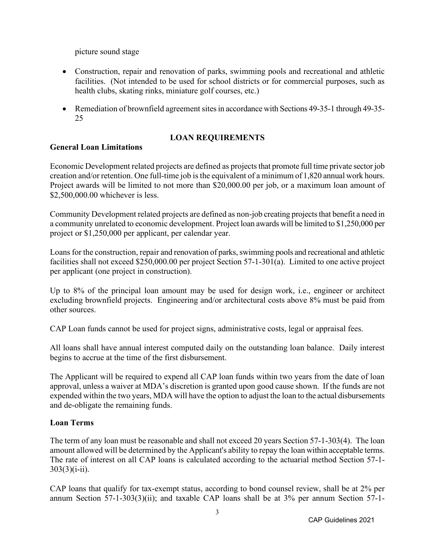picture sound stage

- Construction, repair and renovation of parks, swimming pools and recreational and athletic facilities. (Not intended to be used for school districts or for commercial purposes, such as health clubs, skating rinks, miniature golf courses, etc.)
- Remediation of brownfield agreement sites in accordance with Sections 49-35-1 through 49-35-25

## **LOAN REQUIREMENTS**

## **General Loan Limitations**

Economic Development related projects are defined as projects that promote full time private sector job creation and/or retention. One full-time job is the equivalent of a minimum of 1,820 annual work hours. Project awards will be limited to not more than \$20,000.00 per job, or a maximum loan amount of \$2,500,000.00 whichever is less.

Community Development related projects are defined as non-job creating projects that benefit a need in a community unrelated to economic development. Project loan awards will be limited to \$1,250,000 per project or \$1,250,000 per applicant, per calendar year.

Loans for the construction, repair and renovation of parks, swimming pools and recreational and athletic facilities shall not exceed \$250,000.00 per project Section 57-1-301(a). Limited to one active project per applicant (one project in construction).

Up to 8% of the principal loan amount may be used for design work, i.e., engineer or architect excluding brownfield projects. Engineering and/or architectural costs above 8% must be paid from other sources.

CAP Loan funds cannot be used for project signs, administrative costs, legal or appraisal fees.

All loans shall have annual interest computed daily on the outstanding loan balance. Daily interest begins to accrue at the time of the first disbursement.

The Applicant will be required to expend all CAP loan funds within two years from the date of loan approval, unless a waiver at MDA's discretion is granted upon good cause shown. If the funds are not expended within the two years, MDA will have the option to adjust the loan to the actual disbursements and de-obligate the remaining funds.

## **Loan Terms**

The term of any loan must be reasonable and shall not exceed 20 years Section 57-1-303(4). The loan amount allowed will be determined by the Applicant's ability to repay the loan within acceptable terms. The rate of interest on all CAP loans is calculated according to the actuarial method Section 57-1-  $303(3)(i-ii)$ .

CAP loans that qualify for tax-exempt status, according to bond counsel review, shall be at 2% per annum Section 57-1-303(3)(ii); and taxable CAP loans shall be at 3% per annum Section 57-1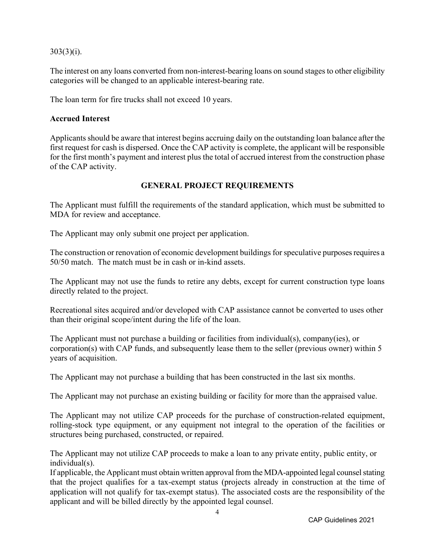$303(3)(i)$ .

The interest on any loans converted from non-interest-bearing loans on sound stages to other eligibility categories will be changed to an applicable interest-bearing rate.

The loan term for fire trucks shall not exceed 10 years.

#### **Accrued Interest**

Applicants should be aware that interest begins accruing daily on the outstanding loan balance after the first request for cash is dispersed. Once the CAP activity is complete, the applicant will be responsible for the first month's payment and interest plus the total of accrued interest from the construction phase of the CAP activity.

## **GENERAL PROJECT REQUIREMENTS**

The Applicant must fulfill the requirements of the standard application, which must be submitted to MDA for review and acceptance.

The Applicant may only submit one project per application.

The construction or renovation of economic development buildings for speculative purposes requires a 50/50 match. The match must be in cash or in-kind assets.

The Applicant may not use the funds to retire any debts, except for current construction type loans directly related to the project.

Recreational sites acquired and/or developed with CAP assistance cannot be converted to uses other than their original scope/intent during the life of the loan.

The Applicant must not purchase a building or facilities from individual(s), company(ies), or corporation(s) with CAP funds, and subsequently lease them to the seller (previous owner) within 5 years of acquisition.

The Applicant may not purchase a building that has been constructed in the last six months.

The Applicant may not purchase an existing building or facility for more than the appraised value.

The Applicant may not utilize CAP proceeds for the purchase of construction-related equipment, rolling-stock type equipment, or any equipment not integral to the operation of the facilities or structures being purchased, constructed, or repaired.

The Applicant may not utilize CAP proceeds to make a loan to any private entity, public entity, or individual(s).

If applicable, the Applicant must obtain written approval from the MDA-appointed legal counsel stating that the project qualifies for a tax-exempt status (projects already in construction at the time of application will not qualify for tax-exempt status). The associated costs are the responsibility of the applicant and will be billed directly by the appointed legal counsel.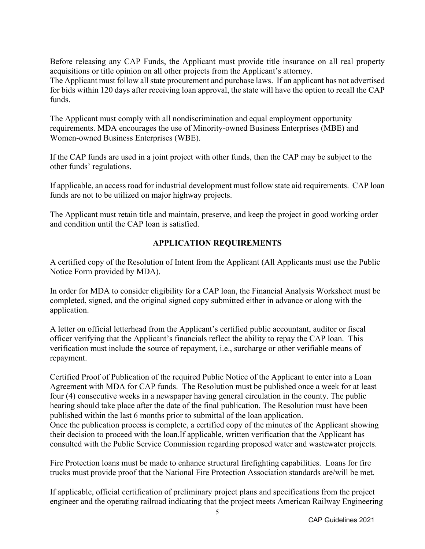Before releasing any CAP Funds, the Applicant must provide title insurance on all real property acquisitions or title opinion on all other projects from the Applicant's attorney.

The Applicant must follow all state procurement and purchase laws. If an applicant has not advertised for bids within 120 days after receiving loan approval, the state will have the option to recall the CAP funds.

The Applicant must comply with all nondiscrimination and equal employment opportunity requirements. MDA encourages the use of Minority-owned Business Enterprises (MBE) and Women-owned Business Enterprises (WBE).

If the CAP funds are used in a joint project with other funds, then the CAP may be subject to the other funds' regulations.

If applicable, an access road for industrial development must follow state aid requirements. CAP loan funds are not to be utilized on major highway projects.

The Applicant must retain title and maintain, preserve, and keep the project in good working order and condition until the CAP loan is satisfied.

## **APPLICATION REQUIREMENTS**

A certified copy of the Resolution of Intent from the Applicant (All Applicants must use the Public Notice Form provided by MDA).

In order for MDA to consider eligibility for a CAP loan, the Financial Analysis Worksheet must be completed, signed, and the original signed copy submitted either in advance or along with the application.

A letter on official letterhead from the Applicant's certified public accountant, auditor or fiscal officer verifying that the Applicant's financials reflect the ability to repay the CAP loan. This verification must include the source of repayment, i.e., surcharge or other verifiable means of repayment.

Certified Proof of Publication of the required Public Notice of the Applicant to enter into a Loan Agreement with MDA for CAP funds. The Resolution must be published once a week for at least four (4) consecutive weeks in a newspaper having general circulation in the county. The public hearing should take place after the date of the final publication. The Resolution must have been published within the last 6 months prior to submittal of the loan application. Once the publication process is complete, a certified copy of the minutes of the Applicant showing their decision to proceed with the loan.If applicable, written verification that the Applicant has consulted with the Public Service Commission regarding proposed water and wastewater projects.

Fire Protection loans must be made to enhance structural firefighting capabilities. Loans for fire trucks must provide proof that the National Fire Protection Association standards are/will be met.

If applicable, official certification of preliminary project plans and specifications from the project engineer and the operating railroad indicating that the project meets American Railway Engineering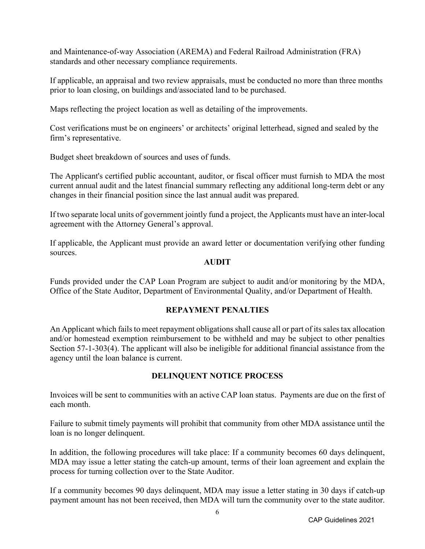and Maintenance-of-way Association (AREMA) and Federal Railroad Administration (FRA) standards and other necessary compliance requirements.

If applicable, an appraisal and two review appraisals, must be conducted no more than three months prior to loan closing, on buildings and/associated land to be purchased.

Maps reflecting the project location as well as detailing of the improvements.

Cost verifications must be on engineers' or architects' original letterhead, signed and sealed by the firm's representative.

Budget sheet breakdown of sources and uses of funds.

The Applicant's certified public accountant, auditor, or fiscal officer must furnish to MDA the most current annual audit and the latest financial summary reflecting any additional long-term debt or any changes in their financial position since the last annual audit was prepared.

If two separate local units of government jointly fund a project, the Applicants must have an inter-local agreement with the Attorney General's approval.

If applicable, the Applicant must provide an award letter or documentation verifying other funding sources.

#### **AUDIT**

Funds provided under the CAP Loan Program are subject to audit and/or monitoring by the MDA, Office of the State Auditor, Department of Environmental Quality, and/or Department of Health.

#### **REPAYMENT PENALTIES**

An Applicant which fails to meet repayment obligations shall cause all or part of its sales tax allocation and/or homestead exemption reimbursement to be withheld and may be subject to other penalties Section 57-1-303(4). The applicant will also be ineligible for additional financial assistance from the agency until the loan balance is current.

## **DELINQUENT NOTICE PROCESS**

Invoices will be sent to communities with an active CAP loan status. Payments are due on the first of each month.

Failure to submit timely payments will prohibit that community from other MDA assistance until the loan is no longer delinquent.

In addition, the following procedures will take place: If a community becomes 60 days delinquent, MDA may issue a letter stating the catch-up amount, terms of their loan agreement and explain the process for turning collection over to the State Auditor.

If a community becomes 90 days delinquent, MDA may issue a letter stating in 30 days if catch-up payment amount has not been received, then MDA will turn the community over to the state auditor.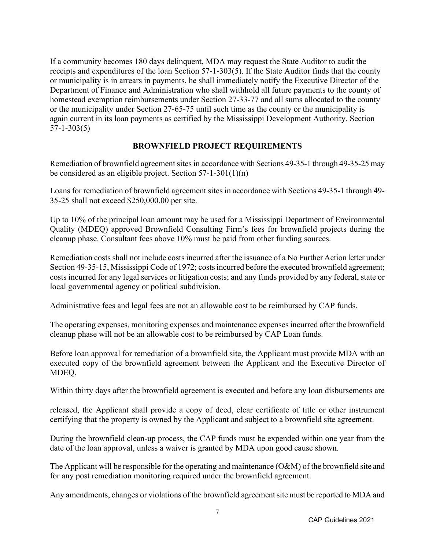If a community becomes 180 days delinquent, MDA may request the State Auditor to audit the receipts and expenditures of the loan Section 57-1-303(5). If the State Auditor finds that the county or municipality is in arrears in payments, he shall immediately notify the Executive Director of the Department of Finance and Administration who shall withhold all future payments to the county of homestead exemption reimbursements under Section 27-33-77 and all sums allocated to the county or the municipality under Section 27-65-75 until such time as the county or the municipality is again current in its loan payments as certified by the Mississippi Development Authority. Section 57-1-303(5)

## **BROWNFIELD PROJECT REQUIREMENTS**

Remediation of brownfield agreement sites in accordance with Sections 49-35-1 through 49-35-25 may be considered as an eligible project. Section 57-1-301(1)(n)

Loans for remediation of brownfield agreement sites in accordance with Sections 49-35-1 through 49- 35-25 shall not exceed \$250,000.00 per site.

Up to 10% of the principal loan amount may be used for a Mississippi Department of Environmental Quality (MDEQ) approved Brownfield Consulting Firm's fees for brownfield projects during the cleanup phase. Consultant fees above 10% must be paid from other funding sources.

Remediation costs shall not include costs incurred after the issuance of a No Further Action letter under Section 49-35-15, Mississippi Code of 1972; costs incurred before the executed brownfield agreement; costs incurred for any legal services or litigation costs; and any funds provided by any federal, state or local governmental agency or political subdivision.

Administrative fees and legal fees are not an allowable cost to be reimbursed by CAP funds.

The operating expenses, monitoring expenses and maintenance expenses incurred after the brownfield cleanup phase will not be an allowable cost to be reimbursed by CAP Loan funds.

Before loan approval for remediation of a brownfield site, the Applicant must provide MDA with an executed copy of the brownfield agreement between the Applicant and the Executive Director of MDEQ.

Within thirty days after the brownfield agreement is executed and before any loan disbursements are

released, the Applicant shall provide a copy of deed, clear certificate of title or other instrument certifying that the property is owned by the Applicant and subject to a brownfield site agreement.

During the brownfield clean-up process, the CAP funds must be expended within one year from the date of the loan approval, unless a waiver is granted by MDA upon good cause shown.

The Applicant will be responsible for the operating and maintenance (O&M) of the brownfield site and for any post remediation monitoring required under the brownfield agreement.

Any amendments, changes or violations of the brownfield agreement site must be reported to MDA and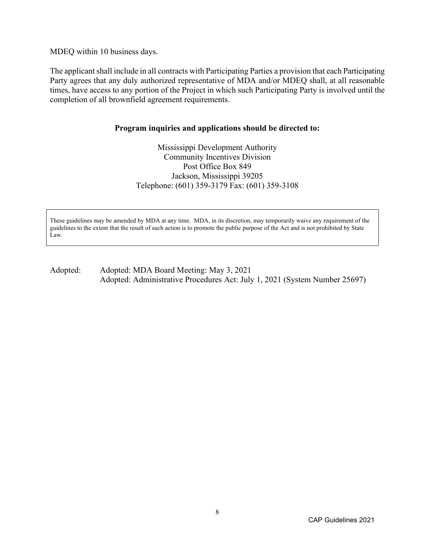MDEQ within 10 business days.

The applicant shall include in all contracts with Participating Parties a provision that each Participating Party agrees that any duly authorized representative of MDA and/or MDEQ shall, at all reasonable times, have access to any portion of the Project in which such Participating Party is involved until the completion of all brownfield agreement requirements.

#### **Program inquiries and applications should be directed to:**

Mississippi Development Authority Community Incentives Division Post Office Box 849 Jackson, Mississippi 39205 Telephone: (601) 359-3179 Fax: (601) 359-3108

These guidelines may be amended by MDA at any time. MDA, in its discretion, may temporarily waive any requirement of the guidelines to the extent that the result of such action is to promote the public purpose of the Act and is not prohibited by State Law.

#### Adopted: Adopted: MDA Board Meeting: May 3, 2021 Adopted: Administrative Procedures Act: July 1, 2021 (System Number 25697)